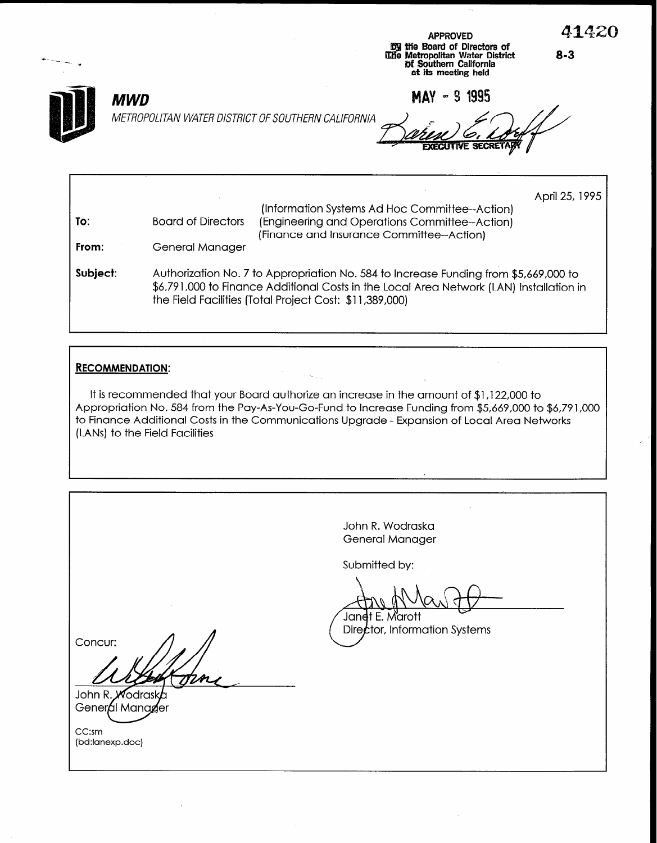

MWD METROPOLITAN WATER DISTRICT OF SOUTHERN CALIFORNIA

MAY - 9 1995

APPROVED BJ ltfie Board of Directors of 02.10 Metropolitan Water District Of Southern California at its meeting held

April 25, 1995 To: From: Subject: (Information Systems Ad Hoc Committee--Action) Board of Directors (Engineering and Operations Committee--Action) (Finance and Insurance Committee--Action) General Manager Authorization No. 7 to Appropriation No. 584 to Increase Funding from \$5,669,000 to \$6,791,000 to Finance Additional Costs in the Local Area Network (LAN) Installation in the Field Facilities (Total Project Cost: \$11,389,000)

#### RECOMMENDATION:

It is recommended that your Board authorize an increase in the amount of \$1,122,000 to Appropriation No. 584 from the Pay-As-You-Go-Fund to Increase Funding from \$5,669,000 to \$6,791,000 to Finance Additional Costs in the Communications Upgrade - Expansion of Local Area Networks (LANs) to the Field Facilities

John R. Wodraska General Manager Submitted by: Jan<del>d</del>t E. Marott Director, Information Systems Concur: John R. Wodrask General Manager CC:sm (bd:lanexp.doc)

8-3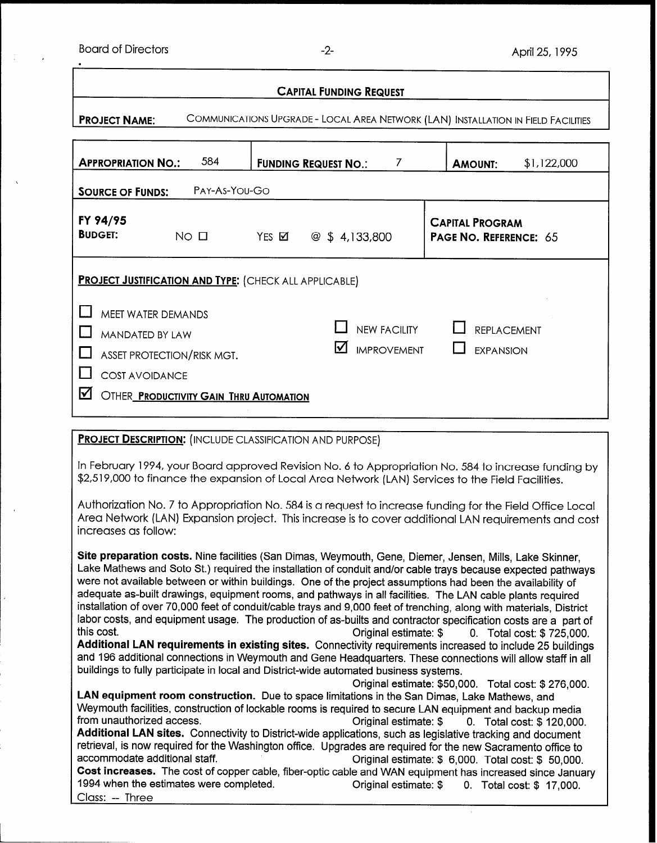Board of Directors **-2-** April 25, 1995

.

| <b>CAPITAL FUNDING REQUEST</b>                                                                                                                                                                                                                   |                                      |                                                         |  |  |  |  |  |  |
|--------------------------------------------------------------------------------------------------------------------------------------------------------------------------------------------------------------------------------------------------|--------------------------------------|---------------------------------------------------------|--|--|--|--|--|--|
| COMMUNICATIONS UPGRADE - LOCAL AREA NETWORK (LAN) INSTALLATION IN FIELD FACILITIES<br><b>PROJECT NAME:</b>                                                                                                                                       |                                      |                                                         |  |  |  |  |  |  |
| 584<br><b>APPROPRIATION NO.:</b>                                                                                                                                                                                                                 | <b>FUNDING REQUEST NO.:</b><br>7     | \$1,122,000<br><b>AMOUNT:</b>                           |  |  |  |  |  |  |
| PAY-As-YOU-GO<br><b>SOURCE OF FUNDS:</b>                                                                                                                                                                                                         |                                      |                                                         |  |  |  |  |  |  |
| FY 94/95<br><b>BUDGET:</b><br>$NO$ $\Box$                                                                                                                                                                                                        | $YES$ $\boxtimes$<br>@  \$ 4,133,800 | <b>CAPITAL PROGRAM</b><br><b>PAGE NO. REFERENCE: 65</b> |  |  |  |  |  |  |
| <b>PROJECT JUSTIFICATION AND TYPE: (CHECK ALL APPLICABLE)</b><br><b>MEET WATER DEMANDS</b><br><b>NEW FACILITY</b><br><b>REPLACEMENT</b><br><b>MANDATED BY LAW</b><br>ΙVΙ<br><b>IMPROVEMENT</b><br><b>EXPANSION</b><br>ASSET PROTECTION/RISK MGT. |                                      |                                                         |  |  |  |  |  |  |
| <b>COST AVOIDANCE</b><br>☑<br><b>OTHER PRODUCTIVITY GAIN THRU AUTOMATION</b><br><b>PROJECT DESCRIPTION: (INCLUDE CLASSIFICATION AND PURPOSE)</b>                                                                                                 |                                      |                                                         |  |  |  |  |  |  |

In February 1994, your Board approved Revision No. 6 to Appropriation No. 584 to increase funding by \$2,519,000 to finance the expansion of Local Area Network (LAN) Services to the Field Facilities.

Authorization No. 7 to Appropriation No. 584 is a request to increase funding for the Field Office Local Area Network (LAN) Expansion project. This increase is to cover additional LAN requirements and cost increases as follow:

Site preparation costs. Nine facilities (San Dimas, Weymouth, Gene, Diemer, Jensen, Mills, Lake Skinner, Lake Mathews and Soto St.) required the installation of conduit and/or cable trays because expected pathways were not available between or within buildings. One of the project assumptions had been the availability of adequate as-built drawings, equipment rooms, and pathways in all facilities. The LAN cable plants required installation of over 70,000 feet of conduit/cable trays and 9,000 feet of trenching, along with materials, District labor costs, and equipment usage. The production of as-builts and contractor specification costs are a part of this cost. **Constructed Entity Constructer Constructer Constructer Constructer Constructer Constructer Constructer Constructer Constructer Constructer Constructer Constructer Construction Construction Construction Construc** Additional LAN requirements in existing sites. Connectivity requirements increased to include 25 buildings and 196 additional connections in Weymouth and Gene Headquarters. These connections will allow staff in all buildings to fully participate in local and District-wide automated business systems. Original estimate: \$50,000. Total cost: \$276,000. LAN equipment room construction. Due to space limitations in the San Dimas, Lake Mathews, and Weymouth facilities, construction of lockable rooms is required to secure LAN equipment and backup media from unauthorized access. The cost of the cost of the cost of the cost: \$ 120,000. Additional LAN sites. Connectivity to District-wide applications, such as legislative tracking and document retrieval, is now required for the Washington office. Upgrades are required for the new Sacramento office to accommodate additional staff. The state of the Criginal estimate: \$ 6,000. Total cost: \$ 50,000.

Cost increases. The cost of copper cable, fiber-optic cable and WAN equipment has increased since January 1994 when the estimates were completed. Original estimate: \$ 0. Total cost: \$ 17,000. Class: -- Three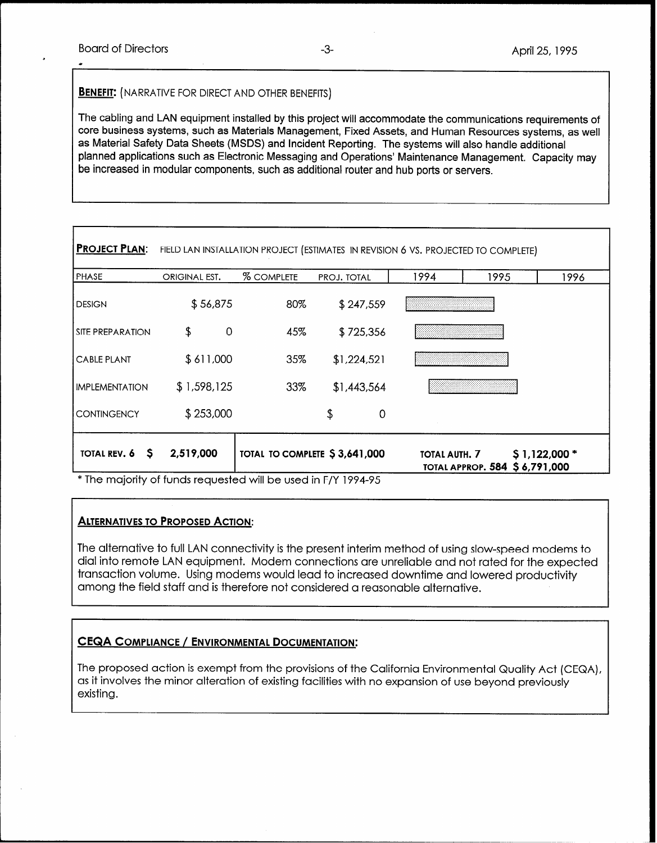1

#### **BENEFIT:** (NARRATIVE FOR DIRECT AND OTHER BENEFITS)

The cabling and LAN equipment installed by this project will accommodate the communications requirements of core business systems, such as Materials Management, Fixed Assets, and Human Resources systems, as well as Material Safety Data Sheets (MSDS) and Incident Reporting. The systems will also handle additional planned applications such as Electronic Messaging and Operations' Maintenance Management. Capacity may be increased in modular components, such as additional router and hub ports or servers.

| <b>PROJECT PLAN:</b>    |               |                   | FIELD LAN INSTALLATION PROJECT (ESTIMATES IN REVISION 6 VS. PROJECTED TO COMPLETE) |               |                               |               |
|-------------------------|---------------|-------------------|------------------------------------------------------------------------------------|---------------|-------------------------------|---------------|
| PHASE                   | ORIGINAL EST. | <b>% COMPLETE</b> | PROJ. TOTAL                                                                        | 1994          | 1995                          | 1996          |
| <b>DESIGN</b>           | \$56,875      | 80%               | \$247,559                                                                          |               |                               |               |
| <b>SITE PREPARATION</b> | \$<br>0       | 45%               | \$725,356                                                                          |               |                               |               |
| <b>CABLE PLANT</b>      | \$611,000     | 35%               | \$1,224,521                                                                        |               |                               |               |
| <b>IMPLEMENTATION</b>   | \$1,598,125   | 33%               | \$1,443,564                                                                        |               |                               |               |
| <b>CONTINGENCY</b>      | \$253,000     |                   | \$<br>0                                                                            |               |                               |               |
| TOTAL REV. 6 \$         | 2,519,000     |                   | TOTAL TO COMPLETE \$3,641,000                                                      | TOTAL AUTH. 7 | TOTAL APPROP. 584 \$6,791,000 | $$1,122,000*$ |

\* The majority of funds requested will be used in F/Y 1994-95

# **ALTERNATIVES TO PROPOSED ACTION:**

The alternative to full LAN connectivity is the present interim method of using slow-speed modems to dial into remote LAN equipment. Modem connections are unreliable and not rated for the expected transaction volume. Using modems would lead to increased downtime and lowered productivity among the field staff and is therefore not considered a reasonable alternative.

# CEQA COMPLIANCE / ENVIRONMENTAL DOCUMENTATION:

The proposed action is exempt from the provisions of the California Environmental Quality Act (CEQA), as it involves the minor alteration of existing facilities with no expansion of use beyond previously existing.